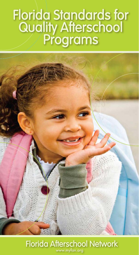# **Florida Standards for Quality Afterschool Programs**

# **Florida Afterschool Network** www.myfan.org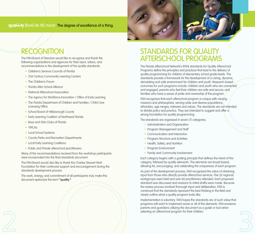# **qual•i•ty** [kwä-lə-tē] noun The degree of excellence of a thing.

# **recogNitioN**

The FAN Board of Directors would like to recognize and thank the following organizations and agencies for their input, advice, and recommendations in the development of the quality standards:

- Children's Services Councils of Florida
- 21st Century Community Learning Centers
- The Children's Forum
- Florida After School Alliance
- National Afterschool Association
- The Agency for Workforce Innovation / Office of Early Learning
- The Florida Department of Children and Families / Child Care Licensing Office
- School Board of Hillsborough County
- Early Learning Coalition of Northwest Florida
- Boys and Girls Clubs of Florida
- YMCAs
- Local School Systems
- County Parks and Recreation Departments
- Local Early Learning Coalitions
- Public and Private afterschool practitioners.

Many of the recommendations received from the workshop participants were incorporated into the final standards document.

The FAN Board would also like to thank the Charles Stewart Mott Foundation for their continued support and encouragement during the standards development process.

The work, energy, and commitment of all participants truly make this document epitomize the term **"quality."**



# **StANdArdS For QuAlity AFterSchool ProgrAmS**

The Florida Afterschool Network's (FAN) standards for Quality Afterschool Programs define the principles and practices that lead to the delivery of quality programming for children of elementary school grade levels. The standards provide a framework for the development of a caring, dynamic, stimulating and safe environment for children and youth. Research-based outcomes for such programs include: children and youth who are connected and engaged; parents who feel their children are safe and secure; and families who have a sense of pride and ownership of the program.

FAN recognizes that each afterschool program is unique with varying missions and philosophies, serving wide and diverse populations, ethnicities, age ranges, interests and values. The standards are not intended to dictate policy and practice. They are intended to suggest and offer a strong foundation for quality programming.

The standards are organized in seven (7) categories.

- Administration and Organization
- Program Management and Staff
- Communication and Interaction
- Program Structure and Activities
- Health, Safety, and Nutrition
- Program Environment
- Family and Community Involvement

Each category begins with a guiding principle that defines the intent of the category, followed by quality elements. The elements are broad based, allowing for, encouraging, and celebrating the uniqueness of each program.

As part of the development process, FAN recognized the value of obtaining input from those who directly provide afterschool services. Five (5) regional workgroups were held and over 60 practitioners attended. Each proposed standard was discussed and revisions to initial drafts were made. Because the review process involved thorough input and deliberation, FAN is convinced that the standards represent the best thinking in the field and clearly outline what a quality program looks like.

Implementation is voluntary. FAN hopes the standards are of such value that programs will want to implement some or all of the elements. FAN envisions parents and guardians utilizing the document as a guide or tool when selecting an afterschool program for their children.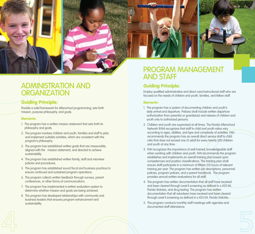



# Guiding Principle:

Provide a solid framework for afterschool programming; sets forth mission, purpose philosophy, and goals.

#### Elements:

- 1. The program has a written mission statement that sets forth its philosophy and goals.
- 2. The program involves children and youth, families and staff to plan and implement suitable activities, which are consistent with the program's philosophy.
- 3. The program has established written goals that are measurable, aligned with the mission statement, and directed to achieve sustainability.
- 4. The program has established written family, staff and volunteer policies and procedures.
- 5. The program has established sound fiscal and business practices to ensure continued and sustained program operations.
- 6. The program collects written feedback through surveys, parent conferences, or other forms of communications.
- 7. The program has implemented a written evaluation system to determine whether mission and goals are being achieved.
- 8. The program has developed relationships with community and business leaders that ensures program enhancement and sustainability.



# **ProgrAm mANAgemeNt ANd StAFF**

# Guiding Principle:

Employ qualified administrative and direct care/instructional staff who are focused on the needs of children and youth, families, and fellow staff.

# Elements:

- 1. The program has a system of documenting children and youth's daily arrival and departure. Policies shall include written departure authorization from parent(s) or guardian(s) and release of children and youth only to authorized persons.
- 2. Children and youth are supervised at all times. The Florida Afterschool Network (FAN) recognizes that staff to child and youth ratios vary according to ages, abilities, and type and complexity of activities. FAN recommends the program has an overall direct service staff to child ratio that does not exceed one (1) adult for every twenty (20) children and youth at any time.
- 3. FAN recognizes the importance of well trained, knowledgeable staff when working with children and youth. FAN recommends the program establishes and implements an overall training plan based upon competencies and position classifications. The training plan shall ensure staff participate in a minimum of fifteen (15) hours of relevant training per year. The program has written job descriptions, personnel policies, program policies, and a parent handbook. The program provides annual written evaluations for all staff.
- 4. The program has written documentation that all staff have received and been cleared through Level II screening as defined in s.435.04, Florida Statutes, and drug testing. The program has written documentation that all volunteers have received and been cleared through Level II screening as defined in s.435.04, Florida Statutes.
- 5. The program conducts monthly staff meetings with agendas and documented staff attendance.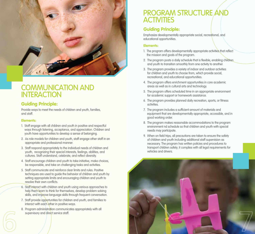

# **commuNicAtioN ANd iNterActioN**

# Guiding Principle:

Provide ways to meet the needs of children and youth, families, and staff.

#### Elements:

- 1. Staff engage with all children and youth in positive and respectful ways through listening, acceptance, and appreciation. Children and youth have opportunities to develop a sense of belonging.
- 2. As role models for children and youth, staff engage other staff in an appropriate and professional manner.
- 3. Staff respond appropriately to the individual needs of children and youth, recognizing their special interests, feelings, abilities, and cultures. Staff understand, celebrate, and reflect diversity.
- 4. Staff encourage children and youth to take initiative, make choices, be responsible, and take on challenging tasks and activities.
- 5. Staff communicate and reinforce clear limits and rules. Positive techniques are used to guide the behavior of children and youth by setting appropriate limits and encouraging children and youth to resolve their own conflicts.
- 6. Staff interact with children and youth using various approaches to help them learn to think for themselves, develop problem solving skills, and improve language skills through frequent conversation.
- 7. Staff provide opportunities for children and youth, and families to interact with each other in positive ways.
- 8. Program administration communicates appropriately with all supervisory and direct service staff.

# **ProgrAm Structure ANd ActivitieS**

# Guiding Principle:

Emphasize developmentally appropriate social, recreational, and educational opportunities.

## Elements:

- 1. The program offers developmentally appropriate activities that reflect the mission and goals of the program.
- 2. The program posts a daily schedule that is flexible, enabling children and youth to transition smoothly from one activity to another.
- 3. The program provides a variety of indoor and outdoor activities for children and youth to choose from, which provide social, recreational, and educational opportunities.
- 4. The program offers enrichment opportunities in core academic areas as well as in cultural arts and technology.
- 5. The program offers scheduled time in an appropriate environment for academic support or homework assistance.
- 6. The program provides planned daily recreation, sports, or fitness activities.
- 7. The program includes a sufficient amount of materials and equipment that are developmentally appropriate, accessible, and in good working order.
- 8. The program makes reasonable accommodations to the program environment nd schedule so that children and youth with special needs may participate.
- 9. When on field trips, all precautions are taken to ensure the safety of children and youth including additional staff supervision as necessary. The program has written policies and procedures to transport children safely; it complies with all legal requirements for vehicles and drivers.

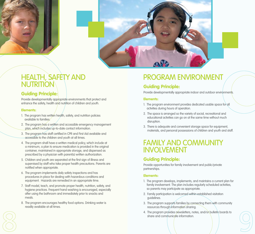



# **heAlth, SAFety ANd NutritioN**

# Guiding Principle:

Provide developmentally appropriate environments that protect and enhance the safety, health and nutrition of children and youth.

## Elements:

- 1. The program has written health, safety, and nutrition policies available to families.
- 2. The program has a written and accessible emergency management plan, which includes up-to-date contact information.
- 3. The program has staff certified in CPR and First Aid available and accessible to the children and youth at all times.
- 4. The program shall have a written medical policy, which include at a minimum, a plan to ensure medication is provided in the original container, maintained in appropriate storage, and dispensed as prescribed by a physician with parent(s) written authorization.
- 5. Children and youth are separated at the first sign of illness and supervised by staff who take proper health precautions. Parents are notified when appropriate.
- 6. The program implements daily safety inspections and has procedures in place for dealing with hazardous conditions and equipment. Hazards are remedied in an appropriate time.
- 7. Staff model, teach, and promote proper health, nutrition, safety, and hygiene practices. Frequent hand washing is encouraged, especially after using the bathroom and immediately prior to snacks and meals.
- 8. The program encourages healthy food options. Drinking water is readily available at all times.

# **ProgrAm eNviroNmeNt**

# Guiding Principle:

Provide developmentally appropriate indoor and outdoor environments.

# Elements:

- 1. The program environment provides dedicated usable space for all activities during hours of operation.
- 2. The space is arranged so the variety of social, recreational and educational activities can go on at the same time without much disruption.
- 3. There is adequate and convenient storage space for equipment, materials, and personal possessions of children and youth and staff.

# **FAmily ANd commuNity iNvolvemeNt**

# Guiding Principle:

Provide opportunities for family involvement and public/private partnerships.

# Elements:

- 1. The program develops, implements, and maintains a current plan for family involvement. The plan includes regularly scheduled activities, so parents may participate as appropriate.
- 2. Family participation is welcomed within established visitation guidelines.
- 3. The program supports families by connecting them with community resources through information sharing.
- 4. The program provides newsletters, notes, and/or bulletin boards to share and communicate information.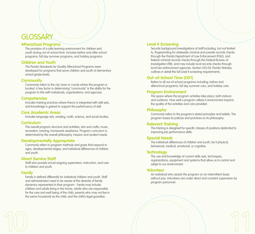# **gloSSAry**

# Afterschool Programs

The provision of a safe learning environment for children and youth during out-of-school time. Includes before and after school programs, full day summer programs, and holiday programs.

## Children and Youth

The Florida Standards for Quality Afterschool Programs were developed for programs that serve children and youth of elementary school grade levels.

#### **Community**

Commonly refers to the city, town or county where the program is located. A key factor in determining "community" is the ability for the program to link with individuals, organizations, and agencies.

## **Competencies**

Includes training practices where theory is integrated with skill sets, and knowledge is gained to support the performance of skill.

#### Core Academic Areas

Includes language arts, reading, math, science, and social studies.

## Curriculum

The overall program structure and activities; arts and crafts; music, recreation, tutoring, homework assistance. Program curriculum is determined by the overall philosophy, mission and student needs.

#### Developmentally Appropriate

Commonly refers to program methods and goals that respond to ages, developmental stages, and individual differences of children and youth.

## Direct Service Staff

Staff who provide actual ongoing supervision, instruction, and care to children and youth.

## Family

Family is defined differently for individual children and youth. Staff and administration need to be aware of the diversity of family dynamics represented in their program. Family may include: children and adults living in the home, adults who are responsible for the care and well being of the child, parents who may not live in the same household as the child, and the child's legal guardian.

# Level II Screening

Security background investigations of staff including, but not limited to, fingerprinting for statewide criminal and juvenile records checks through the Florida Department of Law Enforcement (FDLE), and federal criminal records checks through the Federal Bureau of Investigation (FBI), and may include local records checks through local law enforcement agencies. Section 435.04, Florida Statutes, outlines in detail the full Level II screening requirements.

# Out-of-School Time (OST)

Refers to all out-of-school programs including; before and afterschool programs, full day summer care, and holiday care.

## Program Environment

The space where the program activities take place, both indoors and outdoors. How well a program utilizes it environment impacts the quality of the activities and care provided.

# Philosophy

Commonly refers to the program's stated principles and beliefs. The program bases its policies and practices on its philosophy.

## Relevant Training

The training is designed for specific classes of positions dedicated to improving job performance skills.

## Special Needs

The individual differences of children and youth, be it physical, behavioral, medical, emotional, or cognitive.

## **Technology**

The use and knowledge of current skills sets, techniques, organizations, equipment and systems that allow us to control and adapt to our environment.

#### Volunteer

An individual who assists the program on an intermittent basis without pay. Volunteers are under direct and constant supervision by program personnel.